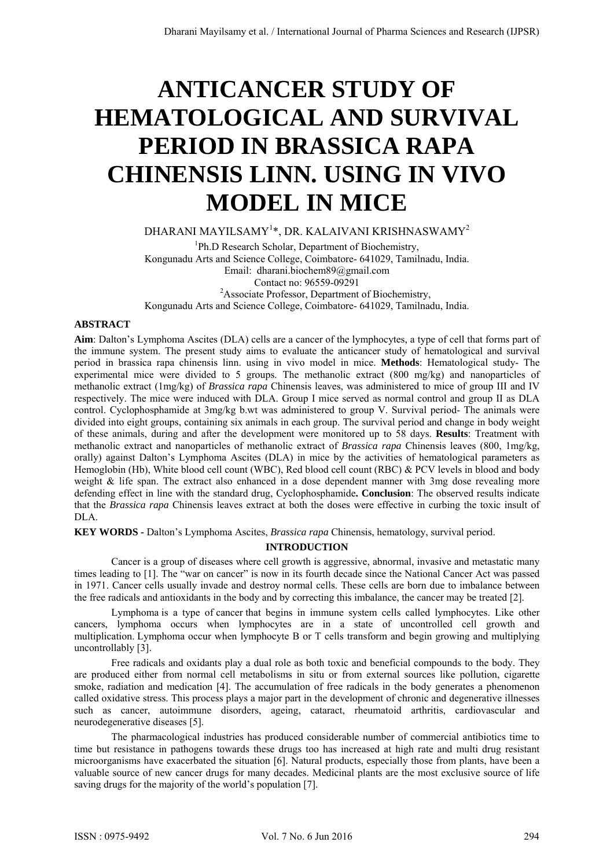# **ANTICANCER STUDY OF HEMATOLOGICAL AND SURVIVAL PERIOD IN BRASSICA RAPA CHINENSIS LINN. USING IN VIVO MODEL IN MICE**

DHARANI MAYILSAMY $^{1\ast},$  DR. KALAIVANI KRISHNASWAMY $^{2}$ 

<sup>1</sup>Ph.D Research Scholar, Department of Biochemistry, Kongunadu Arts and Science College, Coimbatore- 641029, Tamilnadu, India. Email: dharani.biochem89@gmail.com Contact no: 96559-09291 2 Associate Professor, Department of Biochemistry, Kongunadu Arts and Science College, Coimbatore- 641029, Tamilnadu, India.

## **ABSTRACT**

**Aim**: Dalton's Lymphoma Ascites (DLA) cells are a cancer of the lymphocytes, a type of cell that forms part of the immune system. The present study aims to evaluate the anticancer study of hematological and survival period in brassica rapa chinensis linn. using in vivo model in mice. **Methods**: Hematological study- The experimental mice were divided to 5 groups. The methanolic extract (800 mg/kg) and nanoparticles of methanolic extract (1mg/kg) of *Brassica rapa* Chinensis leaves, was administered to mice of group III and IV respectively. The mice were induced with DLA. Group I mice served as normal control and group II as DLA control. Cyclophosphamide at 3mg/kg b.wt was administered to group V. Survival period- The animals were divided into eight groups, containing six animals in each group. The survival period and change in body weight of these animals, during and after the development were monitored up to 58 days. **Results**: Treatment with methanolic extract and nanoparticles of methanolic extract of *Brassica rapa* Chinensis leaves (800, 1mg/kg, orally) against Dalton's Lymphoma Ascites (DLA) in mice by the activities of hematological parameters as Hemoglobin (Hb), White blood cell count (WBC), Red blood cell count (RBC) & PCV levels in blood and body weight & life span. The extract also enhanced in a dose dependent manner with 3mg dose revealing more defending effect in line with the standard drug, Cyclophosphamide**. Conclusion**: The observed results indicate that the *Brassica rapa* Chinensis leaves extract at both the doses were effective in curbing the toxic insult of DLA.

**KEY WORDS -** Dalton's Lymphoma Ascites, *Brassica rapa* Chinensis, hematology, survival period.

## **INTRODUCTION**

Cancer is a group of diseases where cell growth is aggressive, abnormal, invasive and metastatic many times leading to [1]. The "war on cancer" is now in its fourth decade since the National Cancer Act was passed in 1971. Cancer cells usually invade and destroy normal cells. These cells are born due to imbalance between the free radicals and antioxidants in the body and by correcting this imbalance, the cancer may be treated [2].

 Lymphoma is a type of cancer that begins in immune system cells called lymphocytes. Like other cancers, lymphoma occurs when lymphocytes are in a state of uncontrolled cell growth and multiplication. Lymphoma occur when lymphocyte B or T cells transform and begin growing and multiplying uncontrollably [3].

Free radicals and oxidants play a dual role as both toxic and beneficial compounds to the body. They are produced either from normal cell metabolisms in situ or from external sources like pollution, cigarette smoke, radiation and medication [4]. The accumulation of free radicals in the body generates a phenomenon called oxidative stress. This process plays a major part in the development of chronic and degenerative illnesses such as cancer, autoimmune disorders, ageing, cataract, rheumatoid arthritis, cardiovascular and neurodegenerative diseases [5].

The pharmacological industries has produced considerable number of commercial antibiotics time to time but resistance in pathogens towards these drugs too has increased at high rate and multi drug resistant microorganisms have exacerbated the situation [6]. Natural products, especially those from plants, have been a valuable source of new cancer drugs for many decades. Medicinal plants are the most exclusive source of life saving drugs for the majority of the world's population [7].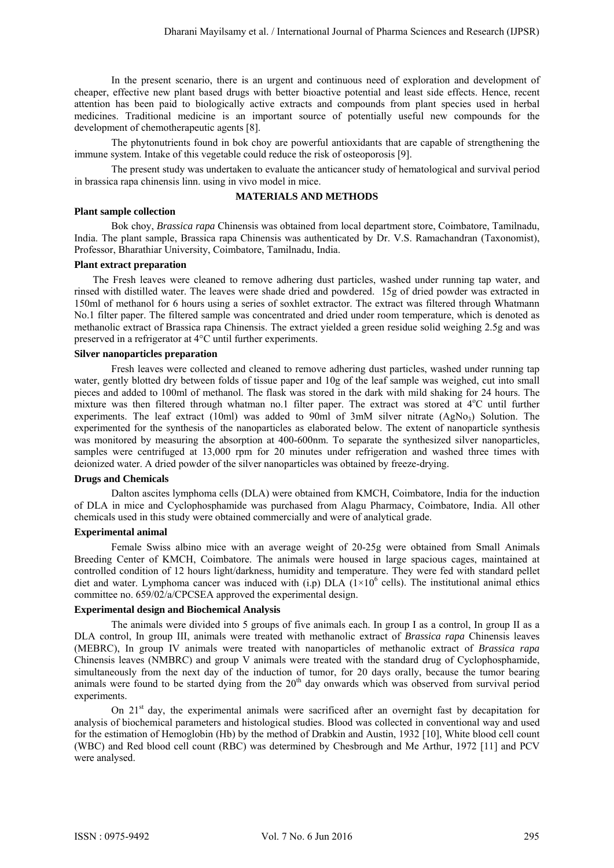In the present scenario, there is an urgent and continuous need of exploration and development of cheaper, effective new plant based drugs with better bioactive potential and least side effects. Hence, recent attention has been paid to biologically active extracts and compounds from plant species used in herbal medicines. Traditional medicine is an important source of potentially useful new compounds for the development of chemotherapeutic agents [8].

The phytonutrients found in bok choy are powerful antioxidants that are capable of strengthening the immune system. Intake of this vegetable could reduce the risk of osteoporosis [9].

The present study was undertaken to evaluate the anticancer study of hematological and survival period in brassica rapa chinensis linn. using in vivo model in mice.

#### **MATERIALS AND METHODS**

#### **Plant sample collection**

 Bok choy, *Brassica rapa* Chinensis was obtained from local department store, Coimbatore, Tamilnadu, India. The plant sample, Brassica rapa Chinensis was authenticated by Dr. V.S. Ramachandran (Taxonomist), Professor, Bharathiar University, Coimbatore, Tamilnadu, India.

#### **Plant extract preparation**

The Fresh leaves were cleaned to remove adhering dust particles, washed under running tap water, and rinsed with distilled water. The leaves were shade dried and powdered. 15g of dried powder was extracted in 150ml of methanol for 6 hours using a series of soxhlet extractor. The extract was filtered through Whatmann No.1 filter paper. The filtered sample was concentrated and dried under room temperature, which is denoted as methanolic extract of Brassica rapa Chinensis. The extract yielded a green residue solid weighing 2.5g and was preserved in a refrigerator at 4°C until further experiments.

#### **Silver nanoparticles preparation**

Fresh leaves were collected and cleaned to remove adhering dust particles, washed under running tap water, gently blotted dry between folds of tissue paper and 10g of the leaf sample was weighed, cut into small pieces and added to 100ml of methanol. The flask was stored in the dark with mild shaking for 24 hours. The mixture was then filtered through whatman no.1 filter paper. The extract was stored at 4°C until further experiments. The leaf extract (10ml) was added to 90ml of 3mM silver nitrate (AgNo3) Solution. The experimented for the synthesis of the nanoparticles as elaborated below. The extent of nanoparticle synthesis was monitored by measuring the absorption at 400-600nm. To separate the synthesized silver nanoparticles, samples were centrifuged at 13,000 rpm for 20 minutes under refrigeration and washed three times with deionized water. A dried powder of the silver nanoparticles was obtained by freeze-drying.

### **Drugs and Chemicals**

Dalton ascites lymphoma cells (DLA) were obtained from KMCH, Coimbatore, India for the induction of DLA in mice and Cyclophosphamide was purchased from Alagu Pharmacy, Coimbatore, India. All other chemicals used in this study were obtained commercially and were of analytical grade.

#### **Experimental animal**

Female Swiss albino mice with an average weight of 20-25g were obtained from Small Animals Breeding Center of KMCH, Coimbatore. The animals were housed in large spacious cages, maintained at controlled condition of 12 hours light/darkness, humidity and temperature. They were fed with standard pellet diet and water. Lymphoma cancer was induced with  $(i,p)$  DLA  $(1\times10^6$  cells). The institutional animal ethics committee no. 659/02/a/CPCSEA approved the experimental design.

#### **Experimental design and Biochemical Analysis**

 The animals were divided into 5 groups of five animals each. In group I as a control, In group II as a DLA control, In group III, animals were treated with methanolic extract of *Brassica rapa* Chinensis leaves (MEBRC), In group IV animals were treated with nanoparticles of methanolic extract of *Brassica rapa*  Chinensis leaves (NMBRC) and group V animals were treated with the standard drug of Cyclophosphamide, simultaneously from the next day of the induction of tumor, for 20 days orally, because the tumor bearing animals were found to be started dying from the 20<sup>th</sup> day onwards which was observed from survival period experiments

On 21<sup>st</sup> day, the experimental animals were sacrificed after an overnight fast by decapitation for analysis of biochemical parameters and histological studies. Blood was collected in conventional way and used for the estimation of Hemoglobin (Hb) by the method of Drabkin and Austin, 1932 [10], White blood cell count (WBC) and Red blood cell count (RBC) was determined by Chesbrough and Me Arthur, 1972 [11] and PCV were analysed.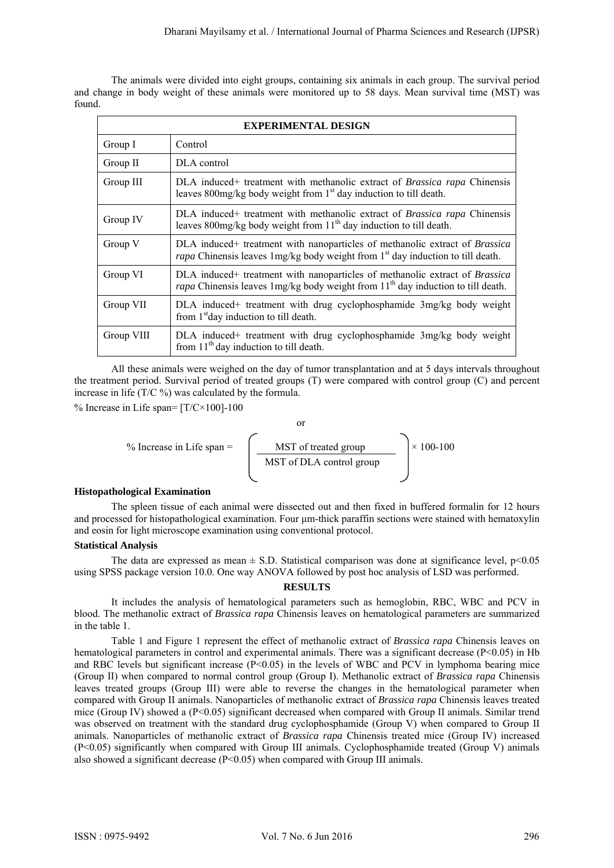The animals were divided into eight groups, containing six animals in each group. The survival period and change in body weight of these animals were monitored up to 58 days. Mean survival time (MST) was found.

| <b>EXPERIMENTAL DESIGN</b> |                                                                                                                                                                                      |  |  |  |
|----------------------------|--------------------------------------------------------------------------------------------------------------------------------------------------------------------------------------|--|--|--|
| Group I                    | Control                                                                                                                                                                              |  |  |  |
| Group II                   | DLA control                                                                                                                                                                          |  |  |  |
| Group III                  | DLA induced+ treatment with methanolic extract of Brassica rapa Chinensis<br>leaves 800mg/kg body weight from 1 <sup>st</sup> day induction to till death.                           |  |  |  |
| Group IV                   | DLA induced+ treatment with methanolic extract of Brassica rapa Chinensis<br>leaves 800mg/kg body weight from $11th$ day induction to till death.                                    |  |  |  |
| Group V                    | DLA induced+ treatment with nanoparticles of methanolic extract of Brassica<br>rapa Chinensis leaves 1 mg/kg body weight from 1 <sup>st</sup> day induction to till death.           |  |  |  |
| Group VI                   | DLA induced+ treatment with nanoparticles of methanolic extract of Brassica<br><i>rapa</i> Chinensis leaves $\frac{1}{2}$ mg/kg body weight from $11th$ day induction to till death. |  |  |  |
| Group VII                  | DLA induced+ treatment with drug cyclophosphamide 3mg/kg body weight<br>from 1 <sup>st</sup> day induction to till death.                                                            |  |  |  |
| Group VIII                 | DLA induced+ treatment with drug cyclophosphamide 3mg/kg body weight<br>from $11th$ day induction to till death.                                                                     |  |  |  |

All these animals were weighed on the day of tumor transplantation and at 5 days intervals throughout the treatment period. Survival period of treated groups (T) were compared with control group (C) and percent increase in life (T/C %) was calculated by the formula.

% Increase in Life span=  $[T/C \times 100]$ -100

$$
\% \text{ Increase in Life span} = \left(\begin{array}{c} \text{or} \\ \text{MST of treated group} \\ \text{MST of DLA control group} \end{array}\right) \times 100-100
$$

#### **Histopathological Examination**

 The spleen tissue of each animal were dissected out and then fixed in buffered formalin for 12 hours and processed for histopathological examination. Four μm-thick paraffin sections were stained with hematoxylin and eosin for light microscope examination using conventional protocol.

### **Statistical Analysis**

The data are expressed as mean  $\pm$  S.D. Statistical comparison was done at significance level,  $p$ <0.05 using SPSS package version 10.0. One way ANOVA followed by post hoc analysis of LSD was performed.

#### **RESULTS**

 It includes the analysis of hematological parameters such as hemoglobin, RBC, WBC and PCV in blood. The methanolic extract of *Brassica rapa* Chinensis leaves on hematological parameters are summarized in the table 1.

Table 1 and Figure 1 represent the effect of methanolic extract of *Brassica rapa* Chinensis leaves on hematological parameters in control and experimental animals. There was a significant decrease (P<0.05) in Hb and RBC levels but significant increase  $(P<0.05)$  in the levels of WBC and PCV in lymphoma bearing mice (Group II) when compared to normal control group (Group I). Methanolic extract of *Brassica rapa* Chinensis leaves treated groups (Group III) were able to reverse the changes in the hematological parameter when compared with Group II animals. Nanoparticles of methanolic extract of *Brassica rapa* Chinensis leaves treated mice (Group IV) showed a (P<0.05) significant decreased when compared with Group II animals. Similar trend was observed on treatment with the standard drug cyclophosphamide (Group V) when compared to Group II animals. Nanoparticles of methanolic extract of *Brassica rapa* Chinensis treated mice (Group IV) increased (P<0.05) significantly when compared with Group III animals. Cyclophosphamide treated (Group V) animals also showed a significant decrease  $(P<0.05)$  when compared with Group III animals.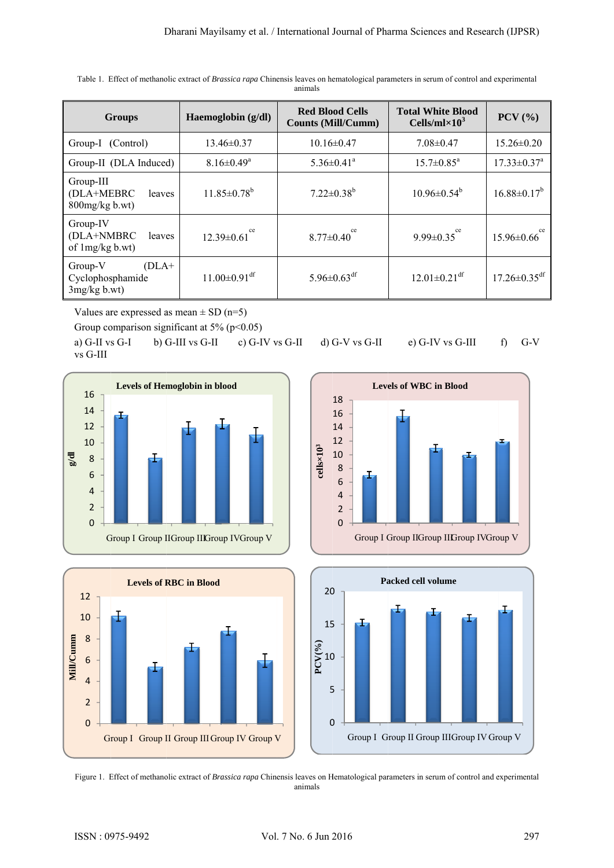| <b>Groups</b>                                            | Haemoglobin (g/dl)             | <b>Red Blood Cells</b><br><b>Counts (Mill/Cumm)</b> | <b>Total White Blood</b><br>Cells/ml $\times$ 10 <sup>3</sup> | $PCV$ $(\frac{9}{6})$          |
|----------------------------------------------------------|--------------------------------|-----------------------------------------------------|---------------------------------------------------------------|--------------------------------|
| Group-I (Control)                                        | $13.46\pm0.37$                 | $10.16 \pm 0.47$                                    | $7.08 \pm 0.47$                                               | $15.26 \pm 0.20$               |
| Group-II (DLA Induced)                                   | $8.16 \pm 0.49^a$              | $5.36 \pm 0.41$ <sup>a</sup>                        | $15.7 \pm 0.85^{\text{a}}$                                    | $17.33 \pm 0.37$ <sup>a</sup>  |
| Group-III<br>(DLA+MEBRC<br>leaves<br>800mg/kg b.wt)      | $11.85 \pm 0.78^b$             | $7.22 \pm 0.38^b$                                   | $10.96 \pm 0.54^{\circ}$                                      | $16.88 \pm 0.17^b$             |
| Group-IV<br>(DLA+NMBRC<br>leaves<br>of $1mg/kg$ b.wt)    | ce<br>$12.39\pm0.61$           | ce<br>$8.77 \pm 0.40$                               | ce<br>$9.99 \pm 0.35$                                         | ce<br>$15.96\pm0.66$           |
| $(DLA+$<br>Group-V<br>Cyclophosphamide<br>$3mg/kg$ b.wt) | $11.00 \pm 0.91$ <sup>df</sup> | 5.96 $\pm$ 0.63 <sup>df</sup>                       | $12.01 \pm 0.21$ <sup>df</sup>                                | $17.26 \pm 0.35$ <sup>df</sup> |

Table 1. Effect of methanolic extract of *Brassica rapa* Chinensis leaves on hematological parameters in serum of control and experimental animals

Values are expressed as mean  $\pm$  SD (n=5)

Group comparison significant at  $5\%$  ( $p<0.05$ )

a) G-II vs G-I b) G vs G-III G-III vs G-II c) G-IV v vs G-II d) G G-V vs G-II e) G-IV vs G-III f) G-V









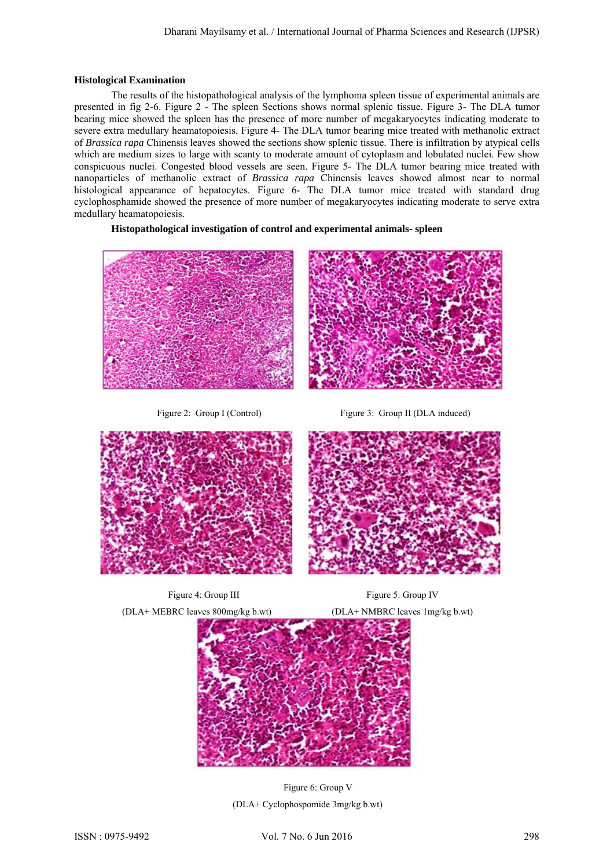#### **Histological Examination**

The results of the histopathological analysis of the lymphoma spleen tissue of experimental animals are presented in fig 2-6. Figure 2 - The spleen Sections shows normal splenic tissue. Figure 3- The DLA tumor bearing mice showed the spleen has the presence of more number of megakaryocytes indicating moderate to severe extra medullary heamatopoiesis. Figure 4- The DLA tumor bearing mice treated with methanolic extract of *Brassica rapa* Chinensis leaves showed the sections show splenic tissue. There is infiltration by atypical cells which are medium sizes to large with scanty to moderate amount of cytoplasm and lobulated nuclei. Few show conspicuous nuclei. Congested blood vessels are seen. Figure 5- The DLA tumor bearing mice treated with nanoparticles of methanolic extract of *Brassica rapa* Chinensis leaves showed almost near to normal histological appearance of hepatocytes. Figure 6- The DLA tumor mice treated with standard drug cyclophosphamide showed the presence of more number of megakaryocytes indicating moderate to serve extra medullary heamatopoiesis.

## **Histopathological investigation of control and experimental animals- spleen**



Figure 2: Group I (Control) Figure 3: Group II (DLA induced)









 Figure 6: Group V (DLA+ Cyclophospomide 3mg/kg b.wt)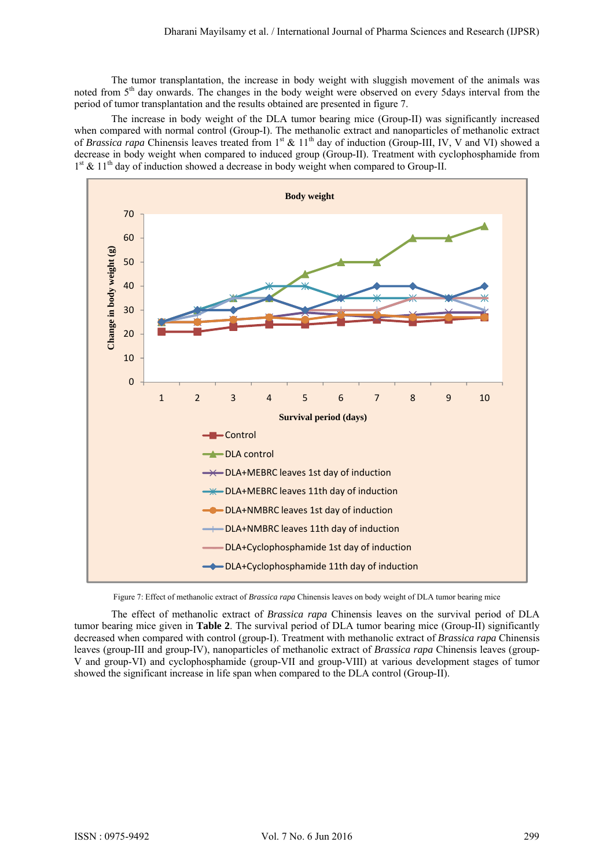The tumor transplantation, the increase in body weight with sluggish movement of the animals was noted from 5<sup>th</sup> day onwards. The changes in the body weight were observed on every 5days interval from the period of tumor transplantation and the results obtained are presented in figure 7.

The increase in body weight of the DLA tumor bearing mice (Group-II) was significantly increased when compared with normal control (Group-I). The methanolic extract and nanoparticles of methanolic extract of *Brassica rapa* Chinensis leaves treated from 1<sup>st</sup> & 11<sup>th</sup> day of induction (Group-III, IV, V and VI) showed a decrease in body weight when compared to induced group (Group-II). Treatment with cyclophosphamide from  $1<sup>st</sup>$  &  $11<sup>th</sup>$  day of induction showed a decrease in body weight when compared to Group-II.



Figure 7: Effect of methanolic extract of *Brassica rapa* Chinensis leaves on body weight of DLA tumor bearing mice

The effect of methanolic extract of *Brassica rapa* Chinensis leaves on the survival period of DLA tumor bearing mice given in **Table 2**. The survival period of DLA tumor bearing mice (Group-II) significantly decreased when compared with control (group-I). Treatment with methanolic extract of *Brassica rapa* Chinensis leaves (group-III and group-IV), nanoparticles of methanolic extract of *Brassica rapa* Chinensis leaves (group-V and group-VI) and cyclophosphamide (group-VII and group-VIII) at various development stages of tumor showed the significant increase in life span when compared to the DLA control (Group-II).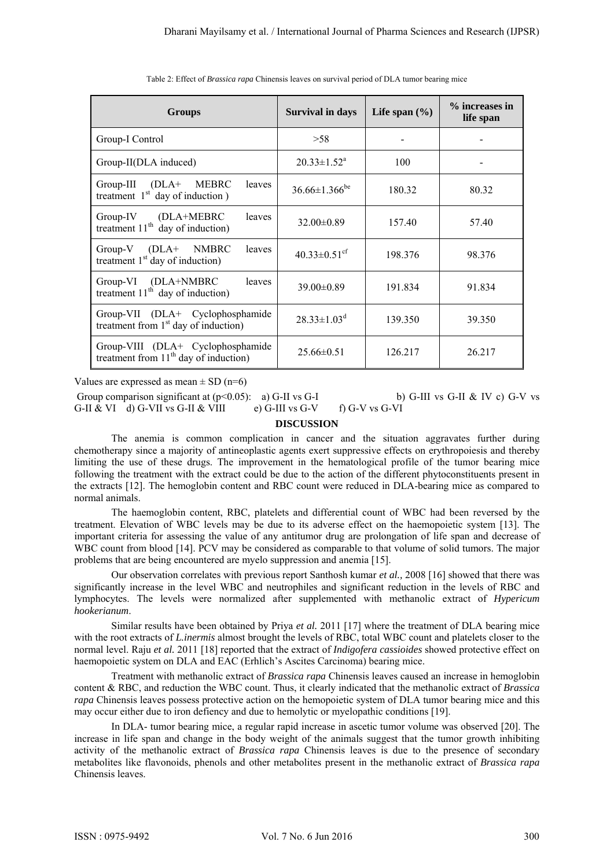| <b>Groups</b>                                                                | <b>Survival in days</b>         | Life span $(\% )$ | % increases in<br>life span |
|------------------------------------------------------------------------------|---------------------------------|-------------------|-----------------------------|
| Group-I Control                                                              | >58                             |                   |                             |
| Group-II(DLA induced)                                                        | $20.33 \pm 1.52^a$              | 100               |                             |
| (DLA+<br>MEBRC<br>$Group-III$<br>leaves<br>treatment $1st$ day of induction) | $36.66 \pm 1.366$ <sup>be</sup> | 180.32            | 80.32                       |
| Group-IV (DLA+MEBRC<br>leaves<br>treatment $11th$ day of induction)          | $32.00 \pm 0.89$                | 157.40            | 57.40                       |
| (DLA+ NMBRC<br>$Group-V$<br>leaves<br>treatment $1st$ day of induction)      | $40.33 \pm 0.51$ <sup>cf</sup>  | 198.376           | 98.376                      |
| Group-VI (DLA+NMBRC<br>leaves<br>treatment $11th$ day of induction)          | $39.00 \pm 0.89$                | 191.834           | 91.834                      |
| Group-VII (DLA+ Cyclophosphamide<br>treatment from $1st$ day of induction)   | $28.33 \pm 1.03^d$              | 139.350           | 39.350                      |
| Group-VIII (DLA+ Cyclophosphamide<br>treatment from $11th$ day of induction) | $25.66\pm0.51$                  | 126.217           | 26.217                      |

Table 2: Effect of *Brassica rapa* Chinensis leaves on survival period of DLA tumor bearing mice

Values are expressed as mean  $\pm$  SD (n=6)

Group comparison significant at  $(p<0.05)$ : a) G-II vs G-I b) G-III vs G-II & IV c) G-V vs G-II & VI d) G-VII vs G-II & VIII e) G-III vs G-V f) G-V vs G-VI

### **DISCUSSION**

The anemia is common complication in cancer and the situation aggravates further during chemotherapy since a majority of antineoplastic agents exert suppressive effects on erythropoiesis and thereby limiting the use of these drugs. The improvement in the hematological profile of the tumor bearing mice following the treatment with the extract could be due to the action of the different phytoconstituents present in the extracts [12]. The hemoglobin content and RBC count were reduced in DLA-bearing mice as compared to normal animals.

The haemoglobin content, RBC, platelets and differential count of WBC had been reversed by the treatment. Elevation of WBC levels may be due to its adverse effect on the haemopoietic system [13]. The important criteria for assessing the value of any antitumor drug are prolongation of life span and decrease of WBC count from blood [14]. PCV may be considered as comparable to that volume of solid tumors. The major problems that are being encountered are myelo suppression and anemia [15].

Our observation correlates with previous report Santhosh kumar *et al.,* 2008 [16] showed that there was significantly increase in the level WBC and neutrophiles and significant reduction in the levels of RBC and lymphocytes. The levels were normalized after supplemented with methanolic extract of *Hypericum hookerianum*.

Similar results have been obtained by Priya *et al.* 2011 [17] where the treatment of DLA bearing mice with the root extracts of *L.inermis* almost brought the levels of RBC, total WBC count and platelets closer to the normal level. Raju *et al.* 2011 [18] reported that the extract of *Indigofera cassioides* showed protective effect on haemopoietic system on DLA and EAC (Erhlich's Ascites Carcinoma) bearing mice.

Treatment with methanolic extract of *Brassica rapa* Chinensis leaves caused an increase in hemoglobin content & RBC, and reduction the WBC count. Thus, it clearly indicated that the methanolic extract of *Brassica rapa* Chinensis leaves possess protective action on the hemopoietic system of DLA tumor bearing mice and this may occur either due to iron defiency and due to hemolytic or myelopathic conditions [19].

 In DLA- tumor bearing mice, a regular rapid increase in ascetic tumor volume was observed [20]. The increase in life span and change in the body weight of the animals suggest that the tumor growth inhibiting activity of the methanolic extract of *Brassica rapa* Chinensis leaves is due to the presence of secondary metabolites like flavonoids, phenols and other metabolites present in the methanolic extract of *Brassica rapa*  Chinensis leaves.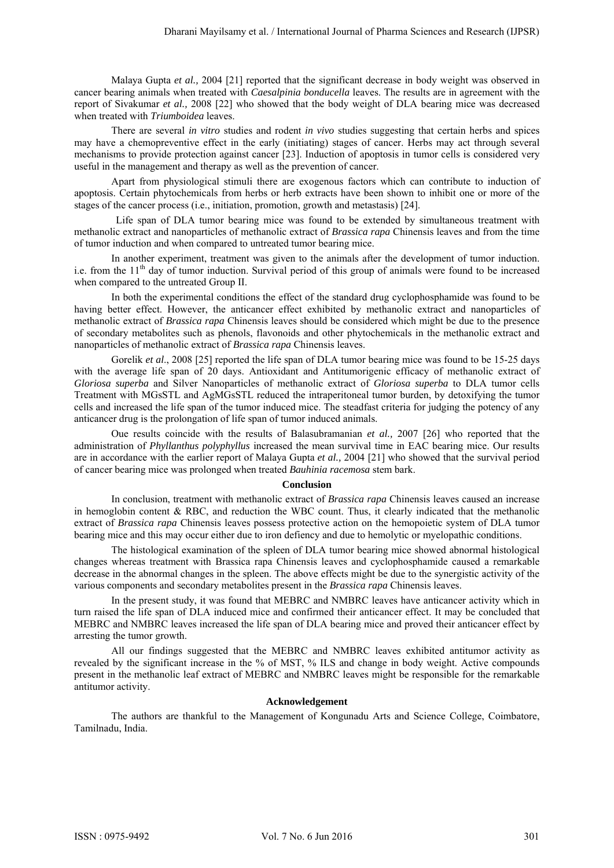Malaya Gupta *et al.,* 2004 [21] reported that the significant decrease in body weight was observed in cancer bearing animals when treated with *Caesalpinia bonducella* leaves. The results are in agreement with the report of Sivakumar *et al.,* 2008 [22] who showed that the body weight of DLA bearing mice was decreased when treated with *Triumboidea* leaves.

There are several *in vitro* studies and rodent *in vivo* studies suggesting that certain herbs and spices may have a chemopreventive effect in the early (initiating) stages of cancer. Herbs may act through several mechanisms to provide protection against cancer [23]. Induction of apoptosis in tumor cells is considered very useful in the management and therapy as well as the prevention of cancer.

Apart from physiological stimuli there are exogenous factors which can contribute to induction of apoptosis. Certain phytochemicals from herbs or herb extracts have been shown to inhibit one or more of the stages of the cancer process (i.e., initiation, promotion, growth and metastasis) [24].

Life span of DLA tumor bearing mice was found to be extended by simultaneous treatment with methanolic extract and nanoparticles of methanolic extract of *Brassica rapa* Chinensis leaves and from the time of tumor induction and when compared to untreated tumor bearing mice.

In another experiment, treatment was given to the animals after the development of tumor induction. i.e. from the 11<sup>th</sup> day of tumor induction. Survival period of this group of animals were found to be increased when compared to the untreated Group II.

In both the experimental conditions the effect of the standard drug cyclophosphamide was found to be having better effect. However, the anticancer effect exhibited by methanolic extract and nanoparticles of methanolic extract of *Brassica rapa* Chinensis leaves should be considered which might be due to the presence of secondary metabolites such as phenols, flavonoids and other phytochemicals in the methanolic extract and nanoparticles of methanolic extract of *Brassica rapa* Chinensis leaves.

Gorelik *et al*., 2008 [25] reported the life span of DLA tumor bearing mice was found to be 15-25 days with the average life span of 20 days. Antioxidant and Antitumorigenic efficacy of methanolic extract of *Gloriosa superba* and Silver Nanoparticles of methanolic extract of *Gloriosa superba* to DLA tumor cells Treatment with MGsSTL and AgMGsSTL reduced the intraperitoneal tumor burden, by detoxifying the tumor cells and increased the life span of the tumor induced mice. The steadfast criteria for judging the potency of any anticancer drug is the prolongation of life span of tumor induced animals.

Oue results coincide with the results of Balasubramanian *et al.,* 2007 [26] who reported that the administration of *Phyllanthus polyphyllus* increased the mean survival time in EAC bearing mice. Our results are in accordance with the earlier report of Malaya Gupta *et al.,* 2004 [21] who showed that the survival period of cancer bearing mice was prolonged when treated *Bauhinia racemosa* stem bark.

#### **Conclusion**

In conclusion, treatment with methanolic extract of *Brassica rapa* Chinensis leaves caused an increase in hemoglobin content  $& RBC$ , and reduction the WBC count. Thus, it clearly indicated that the methanolic extract of *Brassica rapa* Chinensis leaves possess protective action on the hemopoietic system of DLA tumor bearing mice and this may occur either due to iron defiency and due to hemolytic or myelopathic conditions.

The histological examination of the spleen of DLA tumor bearing mice showed abnormal histological changes whereas treatment with Brassica rapa Chinensis leaves and cyclophosphamide caused a remarkable decrease in the abnormal changes in the spleen. The above effects might be due to the synergistic activity of the various components and secondary metabolites present in the *Brassica rapa* Chinensis leaves.

In the present study, it was found that MEBRC and NMBRC leaves have anticancer activity which in turn raised the life span of DLA induced mice and confirmed their anticancer effect. It may be concluded that MEBRC and NMBRC leaves increased the life span of DLA bearing mice and proved their anticancer effect by arresting the tumor growth.

All our findings suggested that the MEBRC and NMBRC leaves exhibited antitumor activity as revealed by the significant increase in the % of MST, % ILS and change in body weight. Active compounds present in the methanolic leaf extract of MEBRC and NMBRC leaves might be responsible for the remarkable antitumor activity.

#### **Acknowledgement**

 The authors are thankful to the Management of Kongunadu Arts and Science College, Coimbatore, Tamilnadu, India.